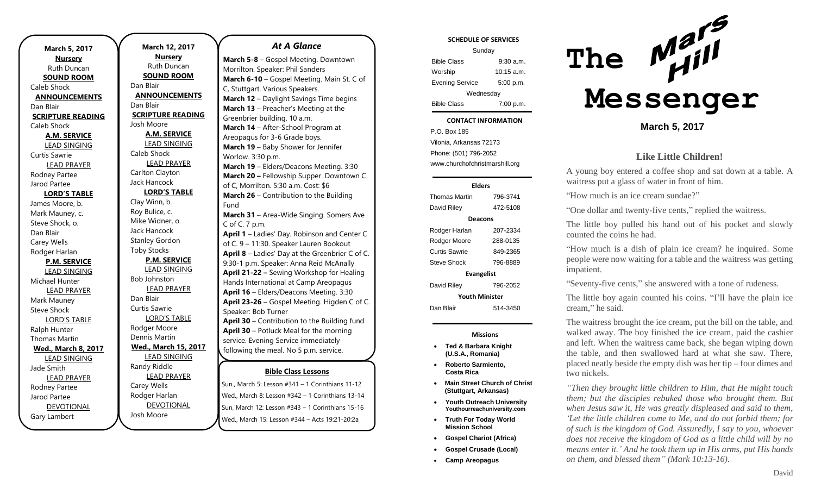n

**March 12, 2017 Nursery** Ruth Duncan **SOUND ROOM** Dan Blair **ANNOUNCEMENTS** Dan Blair **SCRIPTURE READING** Josh Moore **A.M. SERVICE** LEAD SINGING Caleb Shock LEAD PRAYER Carlton Clayton Jack Hancock **LORD'S TABLE** Clay Winn, b. Roy Bulice, c. Mike Widner, o. Jack Hancock Stanley Gordon Toby Stocks **P.M. SERVICE** LEAD SINGING Bob Johnston LEAD PRAYER Dan Blair Curtis Sawrie LORD'S TABLE Rodger Moore Dennis Martin **Wed., March 15, 2017** LEAD SINGING Randy Riddle LEAD PRAYER Carey Wells Rodger Harlan DEVOTIONAL

# Josh Moore

*At A Glance* 

**Bible Class Lessons March 5-8** – Gospel Meeting. Downtown Morrilton. Speaker: Phil Sanders **March 6-10** – Gospel Meeting. Main St. C of C, Stuttgart. Various Speakers. **March 12** – Daylight Savings Time begins **March 13** – Preacher's Meeting at the Greenbrier building. 10 a.m. **March 14** – After-School Program at Areopagus for 3-6 Grade boys. **March 19** – Baby Shower for Jennifer Worlow. 3:30 p.m. **March 19** – Elders/Deacons Meeting. 3:30 **March 20 –** Fellowship Supper. Downtown C of C, Morrilton. 5:30 a.m. Cost: \$6 **March 26** – Contribution to the Building Fund **March 31** – Area-Wide Singing. Somers Ave C of C. 7 p.m. **April 1** – Ladies' Day. Robinson and Center C of C. 9 – 11:30. Speaker Lauren Bookout **April 8** – Ladies' Day at the Greenbrier C of C. 9:30-1 p.m. Speaker: Anna Reid McAnally **April 21-22 –** Sewing Workshop for Healing Hands International at Camp Areopagus **April 16** – Elders/Deacons Meeting. 3:30 **April 23-26** – Gospel Meeting. Higden C of C. Speaker: Bob Turner **April 30** – Contribution to the Building fund **April 30** – Potluck Meal for the morning service. Evening Service immediately following the meal. No 5 p.m. service. **May 21** – Elders/Deacons Meeting. 3:30 p.m.

Sun., March 5: Lesson #341 - 1 Corinthians 11-12 Wed., March 8: Lesson #342 – 1 Corinthians 13-14 Sun, March 12: Lesson #343 – 1 Corinthians 15-16 Wed., March 15: Lesson #344 – Acts 19:21-20:2a pani, march 5. Les *July 16. Publicand Wed., March 342 – T* 

### **SCHEDULE OF SERVICES**

| Sunday                 |                      |
|------------------------|----------------------|
| <b>Bible Class</b>     | $9:30$ a.m.          |
| Worship                | $10:15 \text{ a.m.}$ |
| <b>Evening Service</b> | 5:00 p.m.            |
| Wednesday              |                      |
| <b>Bible Class</b>     | 7:00 p.m.            |

#### Tuesday **CONTACT INFORMATION**

. .o. Bex 166<br>Vilonia, Arkansas 72173 P.O. Box 185 Phone: (501) 796-2052 www.churchofchristmarshill.org

### **Elders**

### Thomas Martin 796-3741 David Riley 472-5108 **Deacons** Rodger Harlan 207-2334 Rodger Moore 288-0135 Curtis Sawrie 849-2365 Steve Shock 796-8889 **Evangelist** David Riley 796-2052 **Youth Minister** Dan Blair 514-3450

### **Missions**

- **Ted & Barbara Knight (U.S.A., Romania)**
- **Roberto Sarmiento, Costa Rica**
- **Main Street Church of Christ (Stuttgart, Arkansas)**
- **Youth Outreach University Youthourreachuniversity.com**
- **Truth For Today World Mission School**
- **Gospel Chariot (Africa)**
- **Gospel Crusade (Local)**
- **Camp Areopagus**



### **March 5, 2017**

### **Like Little Children!**

A young boy entered a coffee shop and sat down at a table. A waitress put a glass of water in front of him.

"How much is an ice cream sundae?"

"One dollar and twenty-five cents," replied the waitress.

The little boy pulled his hand out of his pocket and slowly counted the coins he had.

"How much is a dish of plain ice cream? he inquired. Some people were now waiting for a table and the waitress was getting impatient.

"Seventy-five cents," she answered with a tone of rudeness.

The little boy again counted his coins. "I'll have the plain ice cream," he said.

The waitress brought the ice cream, put the bill on the table, and walked away. The boy finished the ice cream, paid the cashier and left. When the waitress came back, she began wiping down the table, and then swallowed hard at what she saw. There, placed neatly beside the empty dish was her tip – four dimes and two nickels.

*"Then they brought little children to Him, that He might touch them; but the disciples rebuked those who brought them. But when Jesus saw it, He was greatly displeased and said to them, 'Let the little children come to Me, and do not forbid them; for of such is the kingdom of God. Assuredly, I say to you, whoever does not receive the kingdom of God as a little child will by no means enter it.' And he took them up in His arms, put His hands on them, and blessed them" (Mark 10:13-16).*